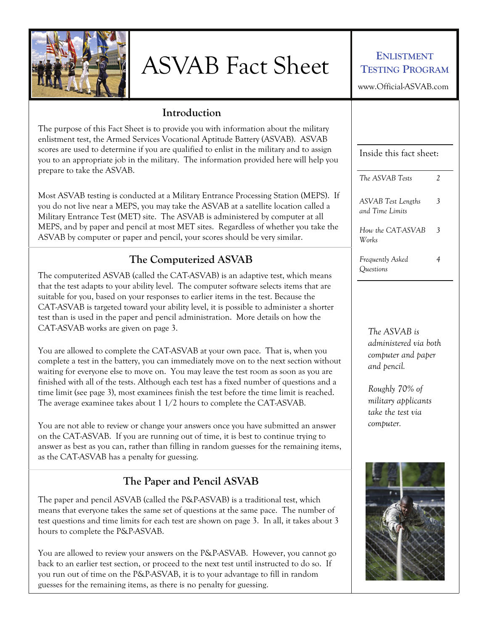

# ASVAB Fact Sheet **ENLISTMENT**

## **TESTING PROGRAM**

www.Official-ASVAB.com

#### **Introduction**

The purpose of this Fact Sheet is to provide you with information about the military enlistment test, the Armed Services Vocational Aptitude Battery (ASVAB). ASVAB scores are used to determine if you are qualified to enlist in the military and to assign you to an appropriate job in the military. The information provided here will help you prepare to take the ASVAB.

Most ASVAB testing is conducted at a Military Entrance Processing Station (MEPS). If you do not live near a MEPS, you may take the ASVAB at a satellite location called a Military Entrance Test (MET) site. The ASVAB is administered by computer at all MEPS, and by paper and pencil at most MET sites. Regardless of whether you take the ASVAB by computer or paper and pencil, your scores should be very similar.

## **The Computerized ASVAB**

The computerized ASVAB (called the CAT-ASVAB) is an adaptive test, which means that the test adapts to your ability level. The computer software selects items that are suitable for you, based on your responses to earlier items in the test. Because the CAT-ASVAB is targeted toward your ability level, it is possible to administer a shorter test than is used in the paper and pencil administration. More details on how the CAT-ASVAB works are given on page 3.

You are allowed to complete the CAT-ASVAB at your own pace. That is, when you complete a test in the battery, you can immediately move on to the next section without waiting for everyone else to move on. You may leave the test room as soon as you are finished with all of the tests. Although each test has a fixed number of questions and a time limit (see page 3), most examinees finish the test before the time limit is reached. The average examinee takes about 1 1/2 hours to complete the CAT-ASVAB.

You are not able to review or change your answers once you have submitted an answer on the CAT-ASVAB. If you are running out of time, it is best to continue trying to answer as best as you can, rather than filling in random guesses for the remaining items, as the CAT-ASVAB has a penalty for guessing.

## **The Paper and Pencil ASVAB**

The paper and pencil ASVAB (called the P&P-ASVAB) is a traditional test, which means that everyone takes the same set of questions at the same pace. The number of test questions and time limits for each test are shown on page 3. In all, it takes about 3 hours to complete the P&P-ASVAB.

You are allowed to review your answers on the P&P-ASVAB. However, you cannot go back to an earlier test section, or proceed to the next test until instructed to do so. If you run out of time on the P&P-ASVAB, it is to your advantage to fill in random guesses for the remaining items, as there is no penalty for guessing.

| Inside this fact sheet:                      |   |
|----------------------------------------------|---|
| The ASVAB Tests                              | 2 |
| <b>ASVAB</b> Test Lengths<br>and Time Limits | 3 |
| How the CAT-ASVAB<br>Works                   | 3 |
| Frequently Asked<br>Ouestions                | 4 |

*The ASVAB is administered via both computer and paper and pencil.* 

*Roughly 70% of military applicants take the test via computer.* 

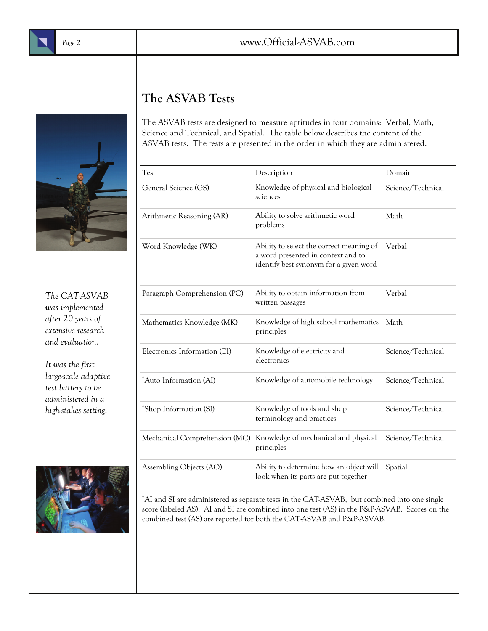## **The ASVAB Tests**

The ASVAB tests are designed to measure aptitudes in four domains: Verbal, Math, Science and Technical, and Spatial. The table below describes the content of the ASVAB tests. The tests are presented in the order in which they are administered.

| Test                               | Description                                                                                                              | Domain            |  |
|------------------------------------|--------------------------------------------------------------------------------------------------------------------------|-------------------|--|
| General Science (GS)               | Knowledge of physical and biological<br>sciences                                                                         | Science/Technical |  |
| Arithmetic Reasoning (AR)          | Ability to solve arithmetic word<br>problems                                                                             | Math              |  |
| Word Knowledge (WK)                | Ability to select the correct meaning of<br>a word presented in context and to<br>identify best synonym for a given word | Verbal            |  |
| Paragraph Comprehension (PC)       | Ability to obtain information from<br>written passages                                                                   | Verbal            |  |
| Mathematics Knowledge (MK)         | Knowledge of high school mathematics<br>principles                                                                       | Math              |  |
| Electronics Information (EI)       | Knowledge of electricity and<br>electronics                                                                              | Science/Technical |  |
| <sup>†</sup> Auto Information (AI) | Knowledge of automobile technology                                                                                       | Science/Technical |  |
| <sup>†</sup> Shop Information (SI) | Knowledge of tools and shop<br>terminology and practices                                                                 | Science/Technical |  |
| Mechanical Comprehension (MC)      | Knowledge of mechanical and physical<br>principles                                                                       | Science/Technical |  |
| Assembling Objects (AO)            | Ability to determine how an object will<br>look when its parts are put together                                          | Spatial           |  |



*The CAT-ASVAB was implemented after 20 years of extensive research and evaluation.* 



† AI and SI are administered as separate tests in the CAT-ASVAB, but combined into one single score (labeled AS). AI and SI are combined into one test (AS) in the P&P-ASVAB. Scores on the combined test (AS) are reported for both the CAT-ASVAB and P&P-ASVAB.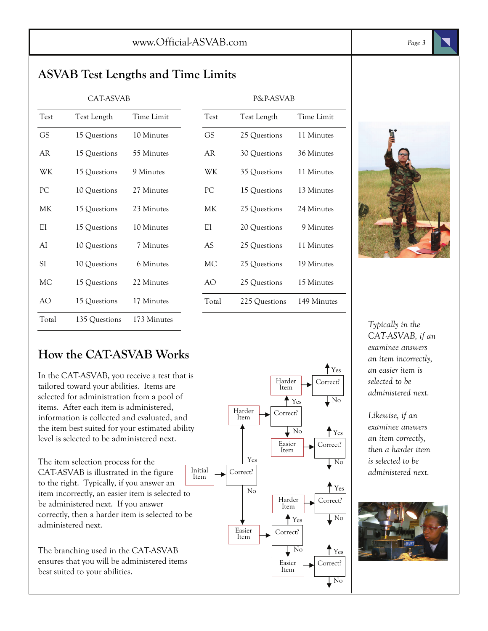## **ASVAB Test Lengths and Time Limits**

| CAT-ASVAB   |               | P&P-ASVAB   |           |               |             |
|-------------|---------------|-------------|-----------|---------------|-------------|
| <b>Test</b> | Test Length   | Time Limit  | Test      | Test Length   | Time Limit  |
| <b>GS</b>   | 15 Questions  | 10 Minutes  | <b>GS</b> | 25 Questions  | 11 Minutes  |
| AR          | 15 Questions  | 55 Minutes  | AR        | 30 Questions  | 36 Minutes  |
| WK          | 15 Questions  | 9 Minutes   | WК        | 35 Questions  | 11 Minutes  |
| PC          | 10 Questions  | 27 Minutes  | PC        | 15 Questions  | 13 Minutes  |
| МK          | 15 Questions  | 23 Minutes  | МK        | 25 Questions  | 24 Minutes  |
| EI          | 15 Questions  | 10 Minutes  | EI        | 20 Questions  | 9 Minutes   |
| AI          | 10 Questions  | 7 Minutes   | <b>AS</b> | 25 Questions  | 11 Minutes  |
| SI          | 10 Questions  | 6 Minutes   | МC        | 25 Questions  | 19 Minutes  |
| МC          | 15 Questions  | 22 Minutes  | AO.       | 25 Questions  | 15 Minutes  |
| AO          | 15 Questions  | 17 Minutes  | Total     | 225 Questions | 149 Minutes |
| Total       | 135 Questions | 173 Minutes |           |               |             |

| <b>P&amp;P-ASVAB</b> |               |             |  |
|----------------------|---------------|-------------|--|
| Test                 | Test Length   | Time Limit  |  |
| GS                   | 25 Questions  | 11 Minutes  |  |
| AR                   | 30 Questions  | 36 Minutes  |  |
| WK                   | 35 Questions  | 11 Minutes  |  |
| PС                   | 15 Questions  | 13 Minutes  |  |
| МK                   | 25 Questions  | 24 Minutes  |  |
| ΕI                   | 20 Questions  | 9 Minutes   |  |
| AS                   | 25 Questions  | 11 Minutes  |  |
| МC                   | 25 Questions  | 19 Minutes  |  |
| AO                   | 25 Questions  | 15 Minutes  |  |
| Total                | 225 Questions | 149 Minutes |  |



*Typically in the CAT-ASVAB, if an examinee answers an item incorrectly, an easier item is selected to be administered next.* 

*Likewise, if an examinee answers an item correctly, then a harder item is selected to be administered next.* 



## **How the CAT-ASVAB Works**

In the CAT-ASVAB, you receive a test that is tailored toward your abilities. Items are selected for administration from a pool of items. After each item is administered, information is collected and evaluated, and the item best suited for your estimated ability level is selected to be administered next.

The item selection process for the CAT-ASVAB is illustrated in the figure to the right. Typically, if you answer an item incorrectly, an easier item is selected to be administered next. If you answer correctly, then a harder item is selected to be administered next.

The branching used in the CAT-ASVAB ensures that you will be administered items best suited to your abilities.